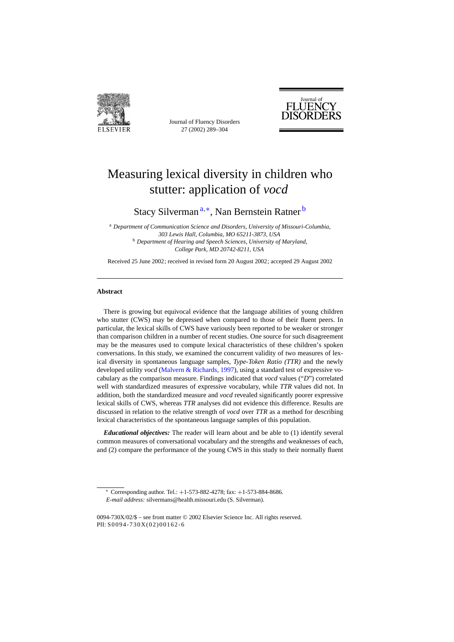

Journal of Fluency Disorders 27 (2002) 289–304



# Measuring lexical diversity in children who stutter: application of *vocd*

Stacy Silverman<sup>a,\*</sup>, Nan Bernstein Ratner<sup>b</sup>

<sup>a</sup> *Department of Communication Science and Disorders, University of Missouri-Columbia, 303 Lewis Hall, Columbia, MO 65211-3873, USA* <sup>b</sup> *Department of Hearing and Speech Sciences, University of Maryland, College Park, MD 20742-8211, USA*

Received 25 June 2002; received in revised form 20 August 2002; accepted 29 August 2002

## **Abstract**

There is growing but equivocal evidence that the language abilities of young children who stutter (CWS) may be depressed when compared to those of their fluent peers. In particular, the lexical skills of CWS have variously been reported to be weaker or stronger than comparison children in a number of recent studies. One source for such disagreement may be the measures used to compute lexical characteristics of these children's spoken conversations. In this study, we examined the concurrent validity of two measures of lexical diversity in spontaneous language samples, *Type-Token Ratio (TTR)* and the newly developed utility *vocd* [\(Malvern & Richards, 1997\),](#page-13-0) using a standard test of expressive vocabulary as the comparison measure. Findings indicated that *vocd* values ("*D*") correlated well with standardized measures of expressive vocabulary, while *TTR* values did not. In addition, both the standardized measure and *vocd* revealed significantly poorer expressive lexical skills of CWS, whereas *TTR* analyses did not evidence this difference. Results are discussed in relation to the relative strength of *vocd* over *TTR* as a method for describing lexical characteristics of the spontaneous language samples of this population.

*Educational objectives:* The reader will learn about and be able to (1) identify several common measures of conversational vocabulary and the strengths and weaknesses of each, and (2) compare the performance of the young CWS in this study to their normally fluent

<sup>∗</sup> Corresponding author. Tel.: +1-573-882-4278; fax: +1-573-884-8686. *E-mail address:* silvermans@health.missouri.edu (S. Silverman).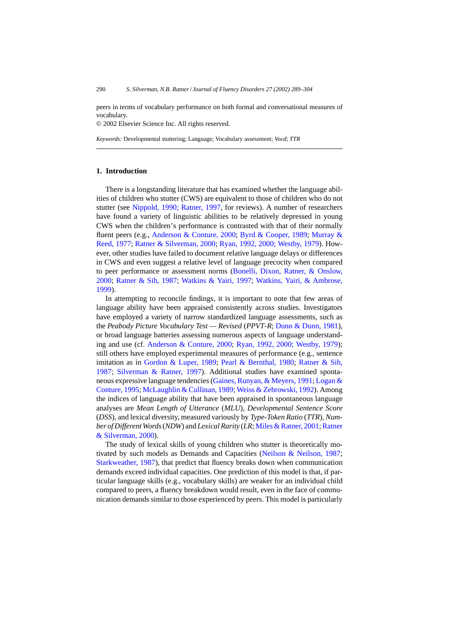peers in terms of vocabulary performance on both formal and conversational measures of vocabulary.

© 2002 Elsevier Science Inc. All rights reserved.

*Keywords:* Developmental stuttering; Language; Vocabulary assessment; *Vocd*; *TTR*

# **1. Introduction**

There is a longstanding literature that has examined whether the language abilities of children who stutter (CWS) are equivalent to those of children who do not stutter (see [Nippold, 1990; Ratner, 1997,](#page-13-0) for reviews). A number of researchers have found a variety of linguistic abilities to be relatively depressed in young CWS when the children's performance is contrasted with that of their normally fluent peers (e.g., [Anderson & Conture, 2000;](#page-12-0) [Byrd & Cooper, 1989;](#page-12-0) [Murray &](#page-13-0) [Reed, 1977;](#page-13-0) [Ratner & Silverman, 2000;](#page-13-0) [Ryan, 1992, 2000; Westby, 1979\).](#page-14-0) However, other studies have failed to document relative language delays or differences in CWS and even suggest a relative level of language precocity when compared to peer performance or assessment norms [\(Bonelli, Dixon, Ratner, & Onslow,](#page-12-0) [2000;](#page-12-0) [Ratner & Sih, 1987;](#page-13-0) [Watkins & Yairi, 1997;](#page-14-0) [Watkins, Yairi, & Ambrose,](#page-14-0) [1999\).](#page-14-0)

In attempting to reconcile findings, it is important to note that few areas of language ability have been appraised consistently across studies. Investigators have employed a variety of narrow standardized language assessments, such as the *Peabody Picture Vocabulary Test — Revised* (*PPVT-R*; [Dunn & Dunn, 1981\),](#page-12-0) or broad language batteries assessing numerous aspects of language understanding and use (cf. [Anderson & Conture, 2000;](#page-12-0) [Ryan, 1992, 2000; Westby, 1979\)](#page-14-0); still others have employed experimental measures of performance (e.g., sentence imitation as in [Gordon & Luper, 1989;](#page-13-0) [Pearl & Bernthal, 1980;](#page-13-0) [Ratner & Sih,](#page-13-0) [1987;](#page-13-0) [Silverman & Ratner, 1997](#page-14-0)). Additional studies have examined spontaneous expressive language tendencies [\(Gaines, Runyan, & Meyers, 1991;](#page-12-0) [Logan &](#page-13-0) [Conture, 1995;](#page-13-0) [McLaughlin & Cullinan, 1989;](#page-13-0) [Weiss & Zebrowski, 1992\).](#page-14-0) Among the indices of language ability that have been appraised in spontaneous language analyses are *Mean Length of Utterance* (*MLU*), *Developmental Sentence Score* (*DSS*), and lexical diversity, measured variously by *Type-Token Ratio* (*TTR*), *Number of Different Words* (*NDW*) and *Lexical Rarity* (*LR*; Miles & Ratner, 2001; Ratner [& Silverman, 2000\).](#page-13-0)

The study of lexical skills of young children who stutter is theoretically mo-tivated by such models as Demands and Capacities [\(Neilson & Neilson, 1987;](#page-13-0) [Starkweather, 1987\),](#page-14-0) that predict that fluency breaks down when communication demands exceed individual capacities. One prediction of this model is that, if particular language skills (e.g., vocabulary skills) are weaker for an individual child compared to peers, a fluency breakdown would result, even in the face of communication demands similar to those experienced by peers. This model is particularly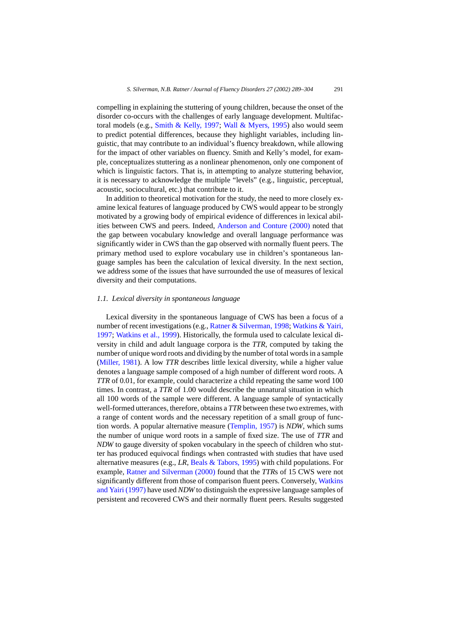compelling in explaining the stuttering of young children, because the onset of the disorder co-occurs with the challenges of early language development. Multifactoral models (e.g., [Smith & Kelly, 1997;](#page-14-0) [Wall & Myers, 1995\)](#page-14-0) also would seem to predict potential differences, because they highlight variables, including linguistic, that may contribute to an individual's fluency breakdown, while allowing for the impact of other variables on fluency. Smith and Kelly's model, for example, conceptualizes stuttering as a nonlinear phenomenon, only one component of which is linguistic factors. That is, in attempting to analyze stuttering behavior, it is necessary to acknowledge the multiple "levels" (e.g., linguistic, perceptual, acoustic, sociocultural, etc.) that contribute to it.

In addition to theoretical motivation for the study, the need to more closely examine lexical features of language produced by CWS would appear to be strongly motivated by a growing body of empirical evidence of differences in lexical abilities between CWS and peers. Indeed, [Anderson and Conture \(2000\)](#page-12-0) noted that the gap between vocabulary knowledge and overall language performance was significantly wider in CWS than the gap observed with normally fluent peers. The primary method used to explore vocabulary use in children's spontaneous language samples has been the calculation of lexical diversity. In the next section, we address some of the issues that have surrounded the use of measures of lexical diversity and their computations.

# *1.1. Lexical diversity in spontaneous language*

Lexical diversity in the spontaneous language of CWS has been a focus of a number of recent investigations (e.g., [Ratner & Silverman, 1998;](#page-13-0) [Watkins & Yairi,](#page-14-0) [1997;](#page-14-0) [Watkins et al., 1999\).](#page-14-0) Historically, the formula used to calculate lexical diversity in child and adult language corpora is the *TTR*, computed by taking the number of unique word roots and dividing by the number of total words in a sample [\(Miller, 1981\).](#page-13-0) A low *TTR* describes little lexical diversity, while a higher value denotes a language sample composed of a high number of different word roots. A *TTR* of 0.01, for example, could characterize a child repeating the same word 100 times. In contrast, a *TTR* of 1.00 would describe the unnatural situation in which all 100 words of the sample were different. A language sample of syntactically well-formed utterances, therefore, obtains a *TTR* between these two extremes, with a range of content words and the necessary repetition of a small group of function words. A popular alternative measure ([Templin, 1957\)](#page-14-0) is *NDW*, which sums the number of unique word roots in a sample of fixed size. The use of *TTR* and *NDW* to gauge diversity of spoken vocabulary in the speech of children who stutter has produced equivocal findings when contrasted with studies that have used alternative measures (e.g., *LR*, [Beals & Tabors, 1995\)](#page-12-0) with child populations. For example, [Ratner and Silverman \(2000\)](#page-13-0) found that the *TTR*s of 15 CWS were not significantly different from those of comparison fluent peers. Conversely, [Watkins](#page-14-0) [and Yairi \(1997\)](#page-14-0) have used *NDW* to distinguish the expressive language samples of persistent and recovered CWS and their normally fluent peers. Results suggested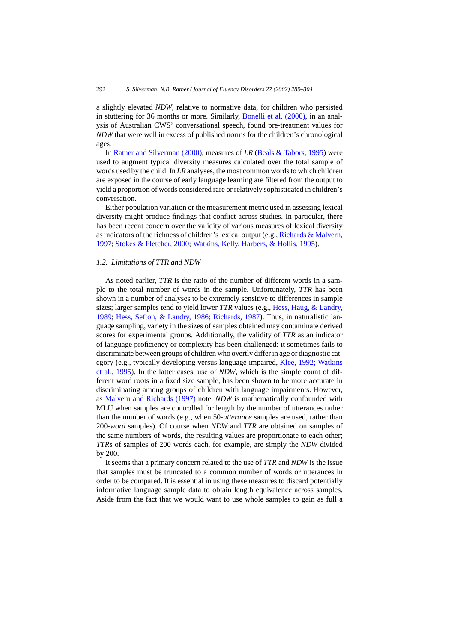a slightly elevated *NDW*, relative to normative data, for children who persisted in stuttering for 36 months or more. Similarly, [Bonelli et al. \(2000\),](#page-12-0) in an analysis of Australian CWS' conversational speech, found pre-treatment values for *NDW* that were well in excess of published norms for the children's chronological ages.

In [Ratner and Silverman \(2000\), m](#page-13-0)easures of *LR* [\(Beals & Tabors, 1995\)](#page-12-0) were used to augment typical diversity measures calculated over the total sample of words used by the child. In *LR* analyses, the most common words to which children are exposed in the course of early language learning are filtered from the output to yield a proportion of words considered rare or relatively sophisticated in children's conversation.

Either population variation or the measurement metric used in assessing lexical diversity might produce findings that conflict across studies. In particular, there has been recent concern over the validity of various measures of lexical diversity as indicators of the richness of children's lexical output (e.g., [Richards & Malvern,](#page-14-0) [1997;](#page-14-0) [Stokes & Fletcher, 2000;](#page-14-0) [Watkins, Kelly, Harbers, & Hollis, 1995\).](#page-14-0)

## *1.2. Limitations of TTR and NDW*

As noted earlier, *TTR* is the ratio of the number of different words in a sample to the total number of words in the sample. Unfortunately, *TTR* has been shown in a number of analyses to be extremely sensitive to differences in sample sizes; larger samples tend to yield lower *TTR* values (e.g., [Hess, Haug, & Landry,](#page-13-0) [1989;](#page-13-0) [Hess, Sefton, & Landry, 1986;](#page-13-0) [Richards, 1987\).](#page-13-0) Thus, in naturalistic language sampling, variety in the sizes of samples obtained may contaminate derived scores for experimental groups. Additionally, the validity of *TTR* as an indicator of language proficiency or complexity has been challenged: it sometimes fails to discriminate between groups of children who overtly differ in age or diagnostic cat-egory (e.g., typically developing versus language impaired, [Klee, 1992; Watkins](#page-13-0) [et al., 1995\)](#page-13-0). In the latter cases, use of *NDW*, which is the simple count of different word roots in a fixed size sample, has been shown to be more accurate in discriminating among groups of children with language impairments. However, as [Malvern and Richards \(1997\)](#page-13-0) note, *NDW* is mathematically confounded with MLU when samples are controlled for length by the number of utterances rather than the number of words (e.g., when 50-*utterance* samples are used, rather than 200-*word* samples). Of course when *NDW* and *TTR* are obtained on samples of the same numbers of words, the resulting values are proportionate to each other; *TTR*s of samples of 200 words each, for example, are simply the *NDW* divided by 200.

It seems that a primary concern related to the use of *TTR* and *NDW* is the issue that samples must be truncated to a common number of words or utterances in order to be compared. It is essential in using these measures to discard potentially informative language sample data to obtain length equivalence across samples. Aside from the fact that we would want to use whole samples to gain as full a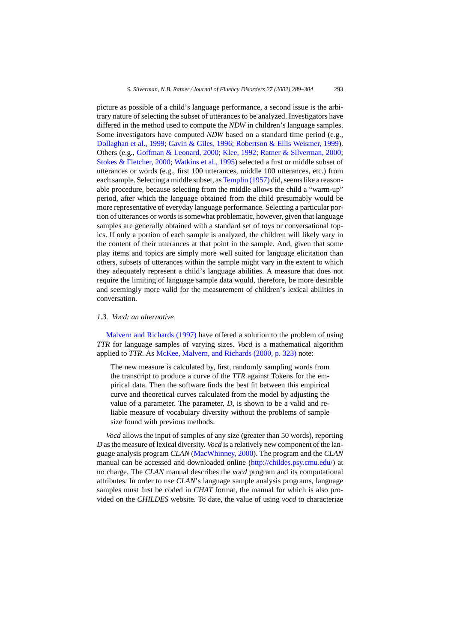picture as possible of a child's language performance, a second issue is the arbitrary nature of selecting the subset of utterances to be analyzed. Investigators have differed in the method used to compute the *NDW* in children's language samples. Some investigators have computed *NDW* based on a standard time period (e.g., [Dollaghan et al., 1999;](#page-12-0) [Gavin & Giles, 1996;](#page-13-0) [Robertson & Ellis Weismer, 1999\).](#page-14-0) Others (e.g., [Goffman & Leonard, 2000;](#page-13-0) [Klee, 1992;](#page-13-0) [Ratner & Silverman, 2000;](#page-13-0) [Stokes & Fletcher, 2000;](#page-14-0) [Watkins et al., 1995\)](#page-14-0) selected a first or middle subset of utterances or words (e.g., first 100 utterances, middle 100 utterances, etc.) from each sample. Selecting a middle subset, as [Templin \(1957\)](#page-14-0) did, seems like a reasonable procedure, because selecting from the middle allows the child a "warm-up" period, after which the language obtained from the child presumably would be more representative of everyday language performance. Selecting a particular portion of utterances or words is somewhat problematic, however, given that language samples are generally obtained with a standard set of toys or conversational topics. If only a portion of each sample is analyzed, the children will likely vary in the content of their utterances at that point in the sample. And, given that some play items and topics are simply more well suited for language elicitation than others, subsets of utterances within the sample might vary in the extent to which they adequately represent a child's language abilities. A measure that does not require the limiting of language sample data would, therefore, be more desirable and seemingly more valid for the measurement of children's lexical abilities in conversation.

# *1.3. Vocd: an alternative*

[Malvern and Richards \(1997\)](#page-13-0) have offered a solution to the problem of using *TTR* for language samples of varying sizes. *Vocd* is a mathematical algorithm applied to *TTR*. As [McKee, Malvern, and Richards \(2000, p. 323\)](#page-13-0) note:

The new measure is calculated by, first, randomly sampling words from the transcript to produce a curve of the *TTR* against Tokens for the empirical data. Then the software finds the best fit between this empirical curve and theoretical curves calculated from the model by adjusting the value of a parameter. The parameter, *D*, is shown to be a valid and reliable measure of vocabulary diversity without the problems of sample size found with previous methods.

*Vocd* allows the input of samples of any size (greater than 50 words), reporting *D* as the measure of lexical diversity. *Vocd* is a relatively new component of the language analysis program *CLAN* ([MacWhinney, 2000\).](#page-13-0) The program and the *CLAN* manual can be accessed and downloaded online ([http://childes.psy.cmu.edu/\)](http://childes.psy.cmu.edu/) at no charge. The *CLAN* manual describes the *vocd* program and its computational attributes. In order to use *CLAN*'s language sample analysis programs, language samples must first be coded in *CHAT* format, the manual for which is also provided on the *CHILDES* website. To date, the value of using *vocd* to characterize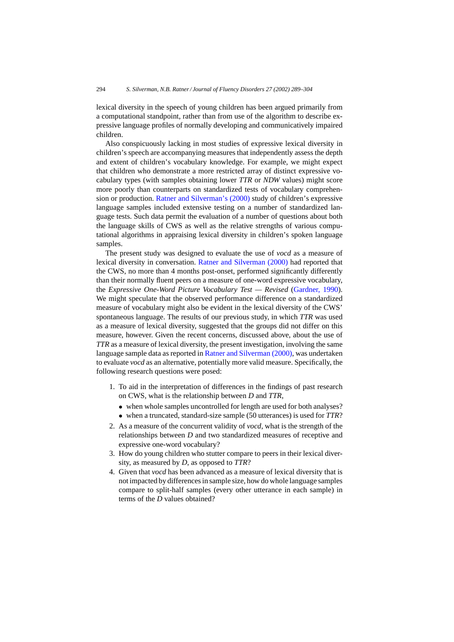lexical diversity in the speech of young children has been argued primarily from a computational standpoint, rather than from use of the algorithm to describe expressive language profiles of normally developing and communicatively impaired children.

Also conspicuously lacking in most studies of expressive lexical diversity in children's speech are accompanying measures that independently assess the depth and extent of children's vocabulary knowledge. For example, we might expect that children who demonstrate a more restricted array of distinct expressive vocabulary types (with samples obtaining lower *TTR* or *NDW* values) might score more poorly than counterparts on standardized tests of vocabulary comprehension or production. [Ratner and Silverman's \(2000\)](#page-13-0) study of children's expressive language samples included extensive testing on a number of standardized language tests. Such data permit the evaluation of a number of questions about both the language skills of CWS as well as the relative strengths of various computational algorithms in appraising lexical diversity in children's spoken language samples.

The present study was designed to evaluate the use of *vocd* as a measure of lexical diversity in conversation. [Ratner and Silverman \(2000\)](#page-13-0) had reported that the CWS, no more than 4 months post-onset, performed significantly differently than their normally fluent peers on a measure of one-word expressive vocabulary, the *Expressive One-Word Picture Vocabulary Test — Revised* ([Gardner, 1990\).](#page-13-0) We might speculate that the observed performance difference on a standardized measure of vocabulary might also be evident in the lexical diversity of the CWS' spontaneous language. The results of our previous study, in which *TTR* was used as a measure of lexical diversity, suggested that the groups did not differ on this measure, however. Given the recent concerns, discussed above, about the use of *TTR* as a measure of lexical diversity, the present investigation, involving the same language sample data as reported in [Ratner and Silverman \(2000\), w](#page-13-0)as undertaken to evaluate *vocd* as an alternative, potentially more valid measure. Specifically, the following research questions were posed:

- 1. To aid in the interpretation of differences in the findings of past research on CWS, what is the relationship between *D* and *TTR*,
	- when whole samples uncontrolled for length are used for both analyses?
	- when a truncated, standard-size sample (50 utterances) is used for *TTR*?
- 2. As a measure of the concurrent validity of *vocd*, what is the strength of the relationships between *D* and two standardized measures of receptive and expressive one-word vocabulary?
- 3. How do young children who stutter compare to peers in their lexical diversity, as measured by *D*, as opposed to *TTR*?
- 4. Given that *vocd* has been advanced as a measure of lexical diversity that is not impacted by differences in sample size, how do whole language samples compare to split-half samples (every other utterance in each sample) in terms of the *D* values obtained?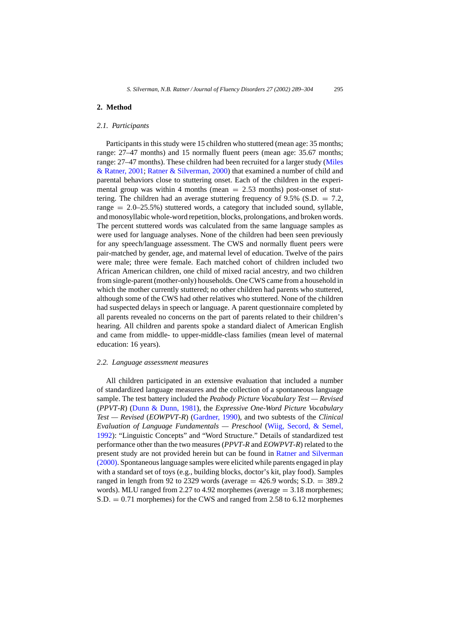# **2. Method**

## *2.1. Participants*

Participants in this study were 15 children who stuttered (mean age: 35 months; range: 27–47 months) and 15 normally fluent peers (mean age: 35.67 months; range: 27–47 months). These children had been recruited for a larger study [\(Miles](#page-13-0) [& Ratner, 2001;](#page-13-0) [Ratner & Silverman, 2000\)](#page-13-0) that examined a number of child and parental behaviors close to stuttering onset. Each of the children in the experimental group was within 4 months (mean  $= 2.53$  months) post-onset of stuttering. The children had an average stuttering frequency of  $9.5\%$  (S.D. = 7.2, range  $= 2.0 - 25.5\%$ ) stuttered words, a category that included sound, syllable, and monosyllabic whole-word repetition, blocks, prolongations, and broken words. The percent stuttered words was calculated from the same language samples as were used for language analyses. None of the children had been seen previously for any speech/language assessment. The CWS and normally fluent peers were pair-matched by gender, age, and maternal level of education. Twelve of the pairs were male; three were female. Each matched cohort of children included two African American children, one child of mixed racial ancestry, and two children from single-parent (mother-only) households. One CWS came from a household in which the mother currently stuttered; no other children had parents who stuttered, although some of the CWS had other relatives who stuttered. None of the children had suspected delays in speech or language. A parent questionnaire completed by all parents revealed no concerns on the part of parents related to their children's hearing. All children and parents spoke a standard dialect of American English and came from middle- to upper-middle-class families (mean level of maternal education: 16 years).

## *2.2. Language assessment measures*

All children participated in an extensive evaluation that included a number of standardized language measures and the collection of a spontaneous language sample. The test battery included the *Peabody Picture Vocabulary Test — Revised* (*PPVT-R*) [\(Dunn & Dunn, 1981\)](#page-12-0), the *Expressive One-Word Picture Vocabulary Test — Revised* (*EOWPVT-R*) [\(Gardner, 1990\),](#page-13-0) and two subtests of the *Clinical Evaluation of Language Fundamentals — Preschool* ([Wiig, Secord, & Semel,](#page-14-0) [1992\):](#page-14-0) "Linguistic Concepts" and "Word Structure." Details of standardized test performance other than the two measures (*PPVT-R* and *EOWPVT-R*) related to the present study are not provided herein but can be found in [Ratner and Silverman](#page-13-0) [\(2000\). S](#page-13-0)pontaneous language samples were elicited while parents engaged in play with a standard set of toys (e.g., building blocks, doctor's kit, play food). Samples ranged in length from 92 to 2329 words (average  $= 426.9$  words; S.D.  $= 389.2$ words). MLU ranged from 2.27 to 4.92 morphemes (average  $=$  3.18 morphemes;  $S.D. = 0.71$  morphemes) for the CWS and ranged from 2.58 to 6.12 morphemes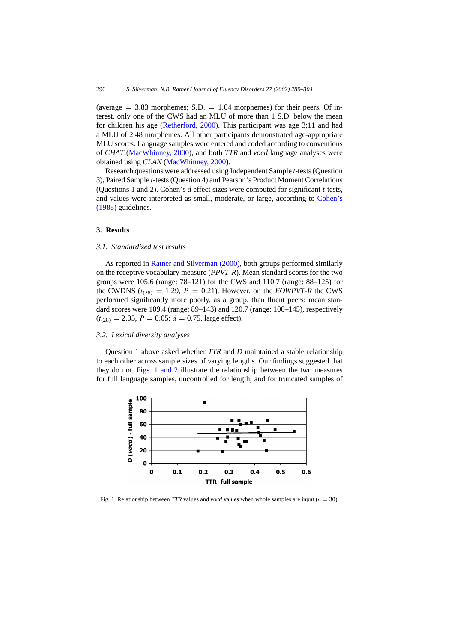(average  $= 3.83$  morphemes; S.D.  $= 1.04$  morphemes) for their peers. Of interest, only one of the CWS had an MLU of more than 1 S.D. below the mean for children his age [\(Retherford, 2000\).](#page-13-0) This participant was age 3;11 and had a MLU of 2.48 morphemes. All other participants demonstrated age-appropriate MLU scores. Language samples were entered and coded according to conventions of *CHAT* ([MacWhinney, 2000\),](#page-13-0) and both *TTR* and *vocd* language analyses were obtained using *CLAN* ([MacWhinney, 2000\).](#page-13-0)

Research questions were addressed using Independent Sample *t*-tests (Question 3), Paired Sample *t*-tests (Question 4) and Pearson's Product Moment Correlations (Questions 1 and 2). Cohen's *d* effect sizes were computed for significant *t*-tests, and values were interpreted as small, moderate, or large, according to [Cohen's](#page-12-0) [\(1988\)](#page-12-0) guidelines.

# **3. Results**

# *3.1. Standardized test results*

As reported in [Ratner and Silverman \(2000\),](#page-13-0) both groups performed similarly on the receptive vocabulary measure (*PPVT-R*). Mean standard scores for the two groups were 105.6 (range: 78–121) for the CWS and 110.7 (range: 88–125) for the CWDNS ( $t_{(28)} = 1.29$ ,  $P = 0.21$ ). However, on the *EOWPVT-R* the CWS performed significantly more poorly, as a group, than fluent peers; mean standard scores were 109.4 (range: 89–143) and 120.7 (range: 100–145), respectively  $(t<sub>(28)</sub> = 2.05, P = 0.05; d = 0.75, \text{large effect}).$ 

## *3.2. Lexical diversity analyses*

Question 1 above asked whether *TTR* and *D* maintained a stable relationship to each other across sample sizes of varying lengths. Our findings suggested that they do not. Figs. 1 and 2 illustrate the relationship between the two measures for full language samples, uncontrolled for length, and for truncated samples of



Fig. 1. Relationship between *TTR* values and *vocd* values when whole samples are input  $(n = 30)$ .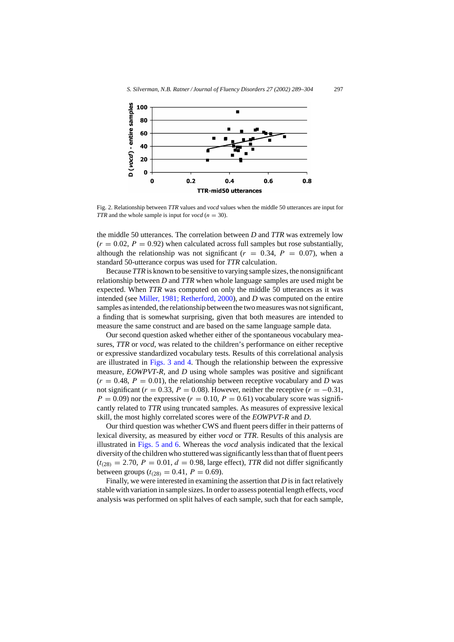

Fig. 2. Relationship between *TTR* values and *vocd* values when the middle 50 utterances are input for *TTR* and the whole sample is input for *vocd* ( $n = 30$ ).

the middle 50 utterances. The correlation between *D* and *TTR* was extremely low  $(r = 0.02, P = 0.92)$  when calculated across full samples but rose substantially, although the relationship was not significant ( $r = 0.34$ ,  $P = 0.07$ ), when a standard 50-utterance corpus was used for *TTR* calculation.

Because *TTR* is known to be sensitive to varying sample sizes, the nonsignificant relationship between *D* and *TTR* when whole language samples are used might be expected. When *TTR* was computed on only the middle 50 utterances as it was intended (see [Miller, 1981; Retherford, 2000\),](#page-13-0) and *D* was computed on the entire samples as intended, the relationship between the two measures was not significant, a finding that is somewhat surprising, given that both measures are intended to measure the same construct and are based on the same language sample data.

Our second question asked whether either of the spontaneous vocabulary measures, *TTR* or *vocd*, was related to the children's performance on either receptive or expressive standardized vocabulary tests. Results of this correlational analysis are illustrated in [Figs. 3 and 4.](#page-9-0) Though the relationship between the expressive measure, *EOWPVT-R*, and *D* using whole samples was positive and significant  $(r = 0.48, P = 0.01)$ , the relationship between receptive vocabulary and *D* was not significant ( $r = 0.33$ ,  $P = 0.08$ ). However, neither the receptive ( $r = -0.31$ ,  $P = 0.09$ ) nor the expressive ( $r = 0.10$ ,  $P = 0.61$ ) vocabulary score was significantly related to *TTR* using truncated samples. As measures of expressive lexical skill, the most highly correlated scores were of the *EOWPVT-R* and *D*.

Our third question was whether CWS and fluent peers differ in their patterns of lexical diversity, as measured by either *vocd* or *TTR*. Results of this analysis are illustrated in [Figs. 5 and 6.](#page-9-0) Whereas the *vocd* analysis indicated that the lexical diversity of the children who stuttered was significantly less than that of fluent peers  $(t<sub>(28)</sub> = 2.70, P = 0.01, d = 0.98, \text{large effect}$ , *TTR* did not differ significantly between groups  $(t_{(28)} = 0.41, P = 0.69)$ .

Finally, we were interested in examining the assertion that *D* is in fact relatively stable with variation in sample sizes. In order to assess potential length effects, *vocd* analysis was performed on split halves of each sample, such that for each sample,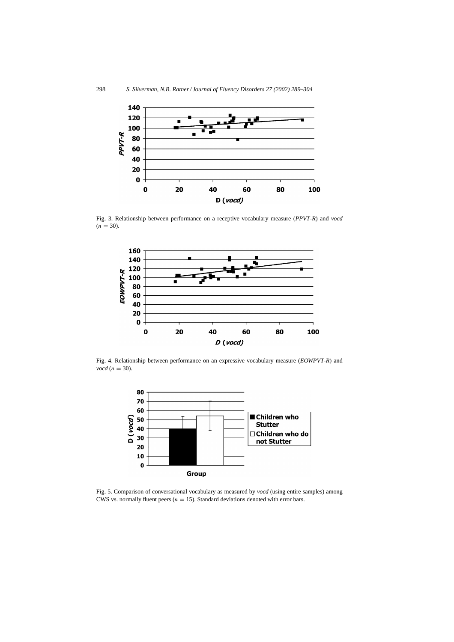<span id="page-9-0"></span>

Fig. 3. Relationship between performance on a receptive vocabulary measure (*PPVT-R*) and *vocd*  $(n = 30)$ .



Fig. 4. Relationship between performance on an expressive vocabulary measure (*EOWPVT-R*) and *vocd*  $(n = 30)$ .



Fig. 5. Comparison of conversational vocabulary as measured by *vocd* (using entire samples) among CWS vs. normally fluent peers ( $n = 15$ ). Standard deviations denoted with error bars.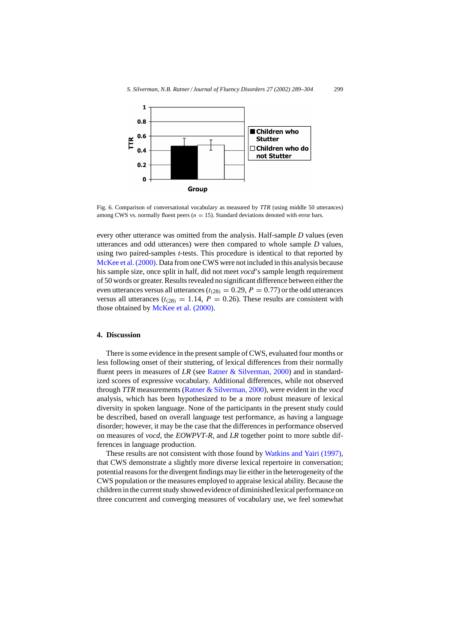

Fig. 6. Comparison of conversational vocabulary as measured by *TTR* (using middle 50 utterances) among CWS vs. normally fluent peers ( $n = 15$ ). Standard deviations denoted with error bars.

every other utterance was omitted from the analysis. Half-sample *D* values (even utterances and odd utterances) were then compared to whole sample *D* values, using two paired-samples *t*-tests. This procedure is identical to that reported by [McKee et al. \(2000\). D](#page-13-0)ata from one CWS were not included in this analysis because his sample size, once split in half, did not meet *vocd*'s sample length requirement of 50 words or greater. Results revealed no significant difference between either the even utterances versus all utterances ( $t_{(28)} = 0.29$ ,  $P = 0.77$ ) or the odd utterances versus all utterances ( $t_{(28)} = 1.14$ ,  $P = 0.26$ ). These results are consistent with those obtained by [McKee et al. \(2000\).](#page-13-0)

# **4. Discussion**

There is some evidence in the present sample of CWS, evaluated four months or less following onset of their stuttering, of lexical differences from their normally fluent peers in measures of *LR* (see [Ratner & Silverman, 2000\)](#page-13-0) and in standardized scores of expressive vocabulary. Additional differences, while not observed through *TTR* measurements ([Ratner & Silverman, 2000\),](#page-13-0) were evident in the *vocd* analysis, which has been hypothesized to be a more robust measure of lexical diversity in spoken language. None of the participants in the present study could be described, based on overall language test performance, as having a language disorder; however, it may be the case that the differences in performance observed on measures of *vocd*, the *EOWPVT-R*, and *LR* together point to more subtle differences in language production.

These results are not consistent with those found by [Watkins and Yairi \(1997\),](#page-14-0) that CWS demonstrate a slightly more diverse lexical repertoire in conversation; potential reasons for the divergent findings may lie either in the heterogeneity of the CWS population or the measures employed to appraise lexical ability. Because the children in the current study showed evidence of diminished lexical performance on three concurrent and converging measures of vocabulary use, we feel somewhat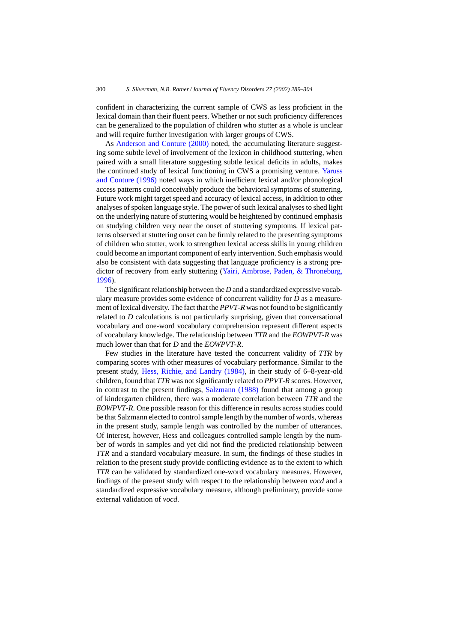confident in characterizing the current sample of CWS as less proficient in the lexical domain than their fluent peers. Whether or not such proficiency differences can be generalized to the population of children who stutter as a whole is unclear and will require further investigation with larger groups of CWS.

As [Anderson and Conture \(2000\)](#page-12-0) noted, the accumulating literature suggesting some subtle level of involvement of the lexicon in childhood stuttering, when paired with a small literature suggesting subtle lexical deficits in adults, makes the continued study of lexical functioning in CWS a promising venture. [Yaruss](#page-14-0) [and Conture \(1996\)](#page-14-0) noted ways in which inefficient lexical and/or phonological access patterns could conceivably produce the behavioral symptoms of stuttering. Future work might target speed and accuracy of lexical access, in addition to other analyses of spoken language style. The power of such lexical analyses to shed light on the underlying nature of stuttering would be heightened by continued emphasis on studying children very near the onset of stuttering symptoms. If lexical patterns observed at stuttering onset can be firmly related to the presenting symptoms of children who stutter, work to strengthen lexical access skills in young children could become an important component of early intervention. Such emphasis would also be consistent with data suggesting that language proficiency is a strong predictor of recovery from early stuttering ([Yairi, Ambrose, Paden, & Throneburg,](#page-14-0) [1996\).](#page-14-0)

The significant relationship between the *D* and a standardized expressive vocabulary measure provides some evidence of concurrent validity for *D* as a measurement of lexical diversity. The fact that the *PPVT-R* was not found to be significantly related to *D* calculations is not particularly surprising, given that conversational vocabulary and one-word vocabulary comprehension represent different aspects of vocabulary knowledge. The relationship between *TTR* and the *EOWPVT-R* was much lower than that for *D* and the *EOWPVT-R*.

Few studies in the literature have tested the concurrent validity of *TTR* by comparing scores with other measures of vocabulary performance. Similar to the present study, [Hess, Richie, and Landry \(1984\),](#page-13-0) in their study of 6–8-year-old children, found that *TTR* was not significantly related to *PPVT-R* scores. However, in contrast to the present findings, [Salzmann \(1988\)](#page-14-0) found that among a group of kindergarten children, there was a moderate correlation between *TTR* and the *EOWPVT-R*. One possible reason for this difference in results across studies could be that Salzmann elected to control sample length by the number of words, whereas in the present study, sample length was controlled by the number of utterances. Of interest, however, Hess and colleagues controlled sample length by the number of words in samples and yet did not find the predicted relationship between *TTR* and a standard vocabulary measure. In sum, the findings of these studies in relation to the present study provide conflicting evidence as to the extent to which *TTR* can be validated by standardized one-word vocabulary measures. However, findings of the present study with respect to the relationship between *vocd* and a standardized expressive vocabulary measure, although preliminary, provide some external validation of *vocd*.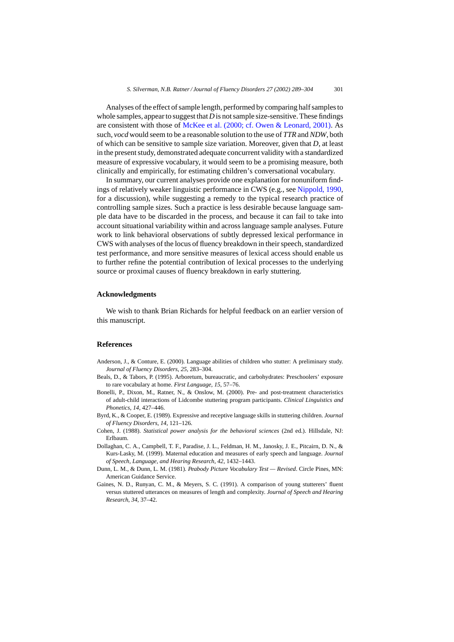<span id="page-12-0"></span>Analyses of the effect of sample length, performed by comparing half samples to whole samples, appear to suggest that  $D$  is not sample size-sensitive. These findings are consistent with those of [McKee et al. \(2000; cf. Owen & Leonard, 2001\).](#page-13-0) As such, *vocd* would seem to be a reasonable solution to the use of *TTR* and *NDW*, both of which can be sensitive to sample size variation. Moreover, given that *D*, at least in the present study, demonstrated adequate concurrent validity with a standardized measure of expressive vocabulary, it would seem to be a promising measure, both clinically and empirically, for estimating children's conversational vocabulary.

In summary, our current analyses provide one explanation for nonuniform findings of relatively weaker linguistic performance in CWS (e.g., see [Nippold, 1990,](#page-13-0) for a discussion), while suggesting a remedy to the typical research practice of controlling sample sizes. Such a practice is less desirable because language sample data have to be discarded in the process, and because it can fail to take into account situational variability within and across language sample analyses. Future work to link behavioral observations of subtly depressed lexical performance in CWS with analyses of the locus of fluency breakdown in their speech, standardized test performance, and more sensitive measures of lexical access should enable us to further refine the potential contribution of lexical processes to the underlying source or proximal causes of fluency breakdown in early stuttering.

#### **Acknowledgments**

We wish to thank Brian Richards for helpful feedback on an earlier version of this manuscript.

#### **References**

- Anderson, J., & Conture, E. (2000). Language abilities of children who stutter: A preliminary study. *Journal of Fluency Disorders*, *25*, 283–304.
- Beals, D., & Tabors, P. (1995). Arboretum, bureaucratic, and carbohydrates: Preschoolers' exposure to rare vocabulary at home. *First Language*, *15*, 57–76.
- Bonelli, P., Dixon, M., Ratner, N., & Onslow, M. (2000). Pre- and post-treatment characteristics of adult-child interactions of Lidcombe stuttering program participants. *Clinical Linguistics and Phonetics*, *14*, 427–446.
- Byrd, K., & Cooper, E. (1989). Expressive and receptive language skills in stuttering children. *Journal of Fluency Disorders*, *14*, 121–126.
- Cohen, J. (1988). *Statistical power analysis for the behavioral sciences* (2nd ed.). Hillsdale, NJ: Erlbaum.
- Dollaghan, C. A., Campbell, T. F., Paradise, J. L., Feldman, H. M., Janosky, J. E., Pitcairn, D. N., & Kurs-Lasky, M. (1999). Maternal education and measures of early speech and language. *Journal of Speech, Language, and Hearing Research*, *42*, 1432–1443.
- Dunn, L. M., & Dunn, L. M. (1981). *Peabody Picture Vocabulary Test Revised*. Circle Pines, MN: American Guidance Service.
- Gaines, N. D., Runyan, C. M., & Meyers, S. C. (1991). A comparison of young stutterers' fluent versus stuttered utterances on measures of length and complexity. *Journal of Speech and Hearing Research*, *34*, 37–42.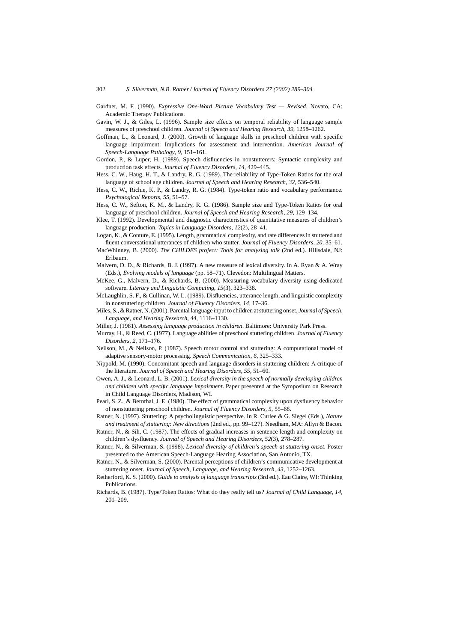- <span id="page-13-0"></span>Gardner, M. F. (1990). *Expressive One-Word Picture Vocabulary Test — Revised*. Novato, CA: Academic Therapy Publications.
- Gavin, W. J., & Giles, L. (1996). Sample size effects on temporal reliability of language sample measures of preschool children. *Journal of Speech and Hearing Research*, *39*, 1258–1262.
- Goffman, L., & Leonard, J. (2000). Growth of language skills in preschool children with specific language impairment: Implications for assessment and intervention. *American Journal of Speech-Language Pathology*, *9*, 151–161.
- Gordon, P., & Luper, H. (1989). Speech disfluencies in nonstutterers: Syntactic complexity and production task effects. *Journal of Fluency Disorders*, *14*, 429–445.
- Hess, C. W., Haug, H. T., & Landry, R. G. (1989). The reliability of Type-Token Ratios for the oral language of school age children. *Journal of Speech and Hearing Research*, *32*, 536–540.
- Hess, C. W., Richie, K. P., & Landry, R. G. (1984). Type-token ratio and vocabulary performance. *Psychological Reports*, *55*, 51–57.
- Hess, C. W., Sefton, K. M., & Landry, R. G. (1986). Sample size and Type-Token Ratios for oral language of preschool children. *Journal of Speech and Hearing Research*, *29*, 129–134.
- Klee, T. (1992). Developmental and diagnostic characteristics of quantitative measures of children's language production. *Topics in Language Disorders*, *12*(2), 28–41.
- Logan, K., & Conture, E. (1995). Length, grammatical complexity, and rate differences in stuttered and fluent conversational utterances of children who stutter. *Journal of Fluency Disorders*, *20*, 35–61.
- MacWhinney, B. (2000). *The CHILDES project: Tools for analyzing talk* (2nd ed.). Hillsdale, NJ: Erlbaum.
- Malvern, D. D., & Richards, B. J. (1997). A new measure of lexical diversity. In A. Ryan & A. Wray (Eds.), *Evolving models of language* (pp. 58–71). Clevedon: Multilingual Matters.
- McKee, G., Malvern, D., & Richards, B. (2000). Measuring vocabulary diversity using dedicated software. *Literary and Linguistic Computing*, *15*(3), 323–338.
- McLaughlin, S. F., & Cullinan, W. L. (1989). Disfluencies, utterance length, and linguistic complexity in nonstuttering children. *Journal of Fluency Disorders*, *14*, 17–36.
- Miles, S., & Ratner, N. (2001). Parental language input to children at stuttering onset. *Journal of Speech, Language, and Hearing Research*, *44*, 1116–1130.
- Miller, J. (1981). *Assessing language production in children*. Baltimore: University Park Press.
- Murray, H., & Reed, C. (1977). Language abilities of preschool stuttering children. *Journal of Fluency Disorders*, *2*, 171–176.
- Neilson, M., & Neilson, P. (1987). Speech motor control and stuttering: A computational model of adaptive sensory-motor processing. *Speech Communication*, *6*, 325–333.
- Nippold, M. (1990). Concomitant speech and language disorders in stuttering children: A critique of the literature. *Journal of Speech and Hearing Disorders*, *55*, 51–60.
- Owen, A. J., & Leonard, L. B. (2001). *Lexical diversity in the speech of normally developing children and children with specific language impairment*. Paper presented at the Symposium on Research in Child Language Disorders, Madison, WI.
- Pearl, S. Z., & Bernthal, J. E. (1980). The effect of grammatical complexity upon dysfluency behavior of nonstuttering preschool children. *Journal of Fluency Disorders*, *5*, 55–68.
- Ratner, N. (1997). Stuttering: A psycholinguistic perspective. In R. Curlee & G. Siegel (Eds.), *Nature and treatment of stuttering: New directions* (2nd ed., pp. 99–127). Needham, MA: Allyn & Bacon.
- Ratner, N., & Sih, C. (1987). The effects of gradual increases in sentence length and complexity on children's dysfluency. *Journal of Speech and Hearing Disorders*, *52*(3), 278–287.
- Ratner, N., & Silverman, S. (1998). *Lexical diversity of children's speech at stuttering onset*. Poster presented to the American Speech-Language Hearing Association, San Antonio, TX.
- Ratner, N., & Silverman, S. (2000). Parental perceptions of children's communicative development at stuttering onset. *Journal of Speech, Language, and Hearing Research*, *43*, 1252–1263.
- Retherford, K. S. (2000). *Guide to analysis of language transcripts* (3rd ed.). Eau Claire, WI: Thinking Publications.
- Richards, B. (1987). Type/Token Ratios: What do they really tell us? *Journal of Child Language*, *14*, 201–209.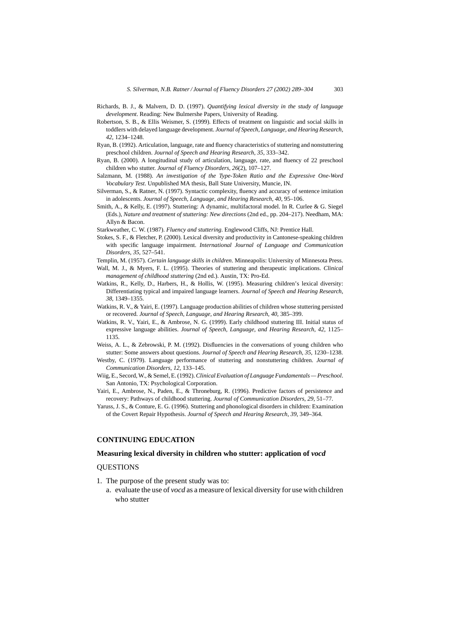- <span id="page-14-0"></span>Richards, B. J., & Malvern, D. D. (1997). *Quantifying lexical diversity in the study of language development*. Reading: New Bulmershe Papers, University of Reading.
- Robertson, S. B., & Ellis Weismer, S. (1999). Effects of treatment on linguistic and social skills in toddlers with delayed language development. *Journal of Speech, Language, and Hearing Research*, *42*, 1234–1248.
- Ryan, B. (1992). Articulation, language, rate and fluency characteristics of stuttering and nonstuttering preschool children. *Journal of Speech and Hearing Research*, *35*, 333–342.
- Ryan, B. (2000). A longitudinal study of articulation, language, rate, and fluency of 22 preschool children who stutter. *Journal of Fluency Disorders*, *26*(2), 107–127.
- Salzmann, M. (1988). *An investigation of the Type-Token Ratio and the Expressive One-Word Vocabulary Test*. Unpublished MA thesis, Ball State University, Muncie, IN.
- Silverman, S., & Ratner, N. (1997). Syntactic complexity, fluency and accuracy of sentence imitation in adolescents. *Journal of Speech, Language, and Hearing Research*, *40*, 95–106.
- Smith, A., & Kelly, E. (1997). Stuttering: A dynamic, multifactoral model. In R. Curlee & G. Siegel (Eds.), *Nature and treatment of stuttering: New directions* (2nd ed., pp. 204–217). Needham, MA: Allyn & Bacon.
- Starkweather, C. W. (1987). *Fluency and stuttering*. Englewood Cliffs, NJ: Prentice Hall.
- Stokes, S. F., & Fletcher, P. (2000). Lexical diversity and productivity in Cantonese-speaking children with specific language impairment. *International Journal of Language and Communication Disorders*, *35*, 527–541.
- Templin, M. (1957). *Certain language skills in children*. Minneapolis: University of Minnesota Press.
- Wall, M. J., & Myers, F. L. (1995). Theories of stuttering and therapeutic implications. *Clinical management of childhood stuttering* (2nd ed.). Austin, TX: Pro-Ed.
- Watkins, R., Kelly, D., Harbers, H., & Hollis, W. (1995). Measuring children's lexical diversity: Differentiating typical and impaired language learners. *Journal of Speech and Hearing Research*, *38*, 1349–1355.
- Watkins, R. V., & Yairi, E. (1997). Language production abilities of children whose stuttering persisted or recovered. *Journal of Speech, Language, and Hearing Research*, *40*, 385–399.
- Watkins, R. V., Yairi, E., & Ambrose, N. G. (1999). Early childhood stuttering III. Initial status of expressive language abilities. *Journal of Speech, Language, and Hearing Research*, *42*, 1125– 1135.
- Weiss, A. L., & Zebrowski, P. M. (1992). Disfluencies in the conversations of young children who stutter: Some answers about questions. *Journal of Speech and Hearing Research*, *35*, 1230–1238.
- Westby, C. (1979). Language performance of stuttering and nonstuttering children. *Journal of Communication Disorders*, *12*, 133–145.
- Wiig, E., Secord, W., & Semel, E. (1992).*Clinical Evaluation of Language Fundamentals Preschool*. San Antonio, TX: Psychological Corporation.
- Yairi, E., Ambrose, N., Paden, E., & Throneburg, R. (1996). Predictive factors of persistence and recovery: Pathways of childhood stuttering. *Journal of Communication Disorders*, *29*, 51–77.
- Yaruss, J. S., & Conture, E. G. (1996). Stuttering and phonological disorders in children: Examination of the Covert Repair Hypothesis. *Journal of Speech and Hearing Research*, *39*, 349–364.

# **CONTINUING EDUCATION**

# **Measuring lexical diversity in children who stutter: application of** *vocd*

# QUESTIONS

- 1. The purpose of the present study was to:
	- a. evaluate the use of *vocd* as a measure of lexical diversity for use with children who stutter